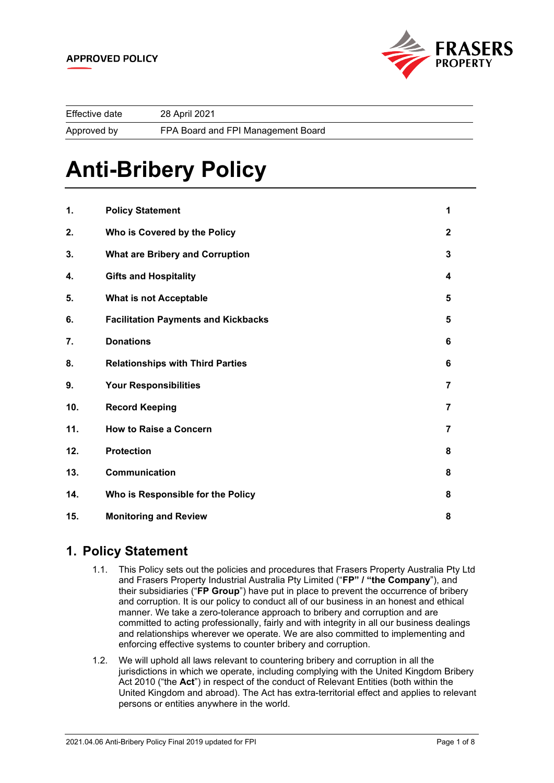

| Effective date | 28 April 2021                      |
|----------------|------------------------------------|
| Approved by    | FPA Board and FPI Management Board |

# **Anti-Bribery Policy**

| 1.  | <b>Policy Statement</b>                    | 1              |
|-----|--------------------------------------------|----------------|
| 2.  | Who is Covered by the Policy               | $\mathbf{2}$   |
| 3.  | <b>What are Bribery and Corruption</b>     | 3              |
| 4.  | <b>Gifts and Hospitality</b>               | 4              |
| 5.  | What is not Acceptable                     | 5              |
| 6.  | <b>Facilitation Payments and Kickbacks</b> | 5              |
| 7.  | <b>Donations</b>                           | 6              |
| 8.  | <b>Relationships with Third Parties</b>    | 6              |
| 9.  | <b>Your Responsibilities</b>               | 7              |
| 10. | <b>Record Keeping</b>                      | $\overline{7}$ |
| 11. | <b>How to Raise a Concern</b>              | $\overline{7}$ |
| 12. | <b>Protection</b>                          | 8              |
| 13. | Communication                              | 8              |
| 14. | Who is Responsible for the Policy          | 8              |
| 15. | <b>Monitoring and Review</b>               | 8              |

# <span id="page-0-0"></span>**1. Policy Statement**

- 1.1. This Policy sets out the policies and procedures that Frasers Property Australia Pty Ltd and Frasers Property Industrial Australia Pty Limited ("**FP" / "the Company**"), and their subsidiaries ("**FP Group**") have put in place to prevent the occurrence of bribery and corruption. It is our policy to conduct all of our business in an honest and ethical manner. We take a zero-tolerance approach to bribery and corruption and are committed to acting professionally, fairly and with integrity in all our business dealings and relationships wherever we operate. We are also committed to implementing and enforcing effective systems to counter bribery and corruption.
- 1.2. We will uphold all laws relevant to countering bribery and corruption in all the jurisdictions in which we operate, including complying with the United Kingdom Bribery Act 2010 ("the **Act**") in respect of the conduct of Relevant Entities (both within the United Kingdom and abroad). The Act has extra-territorial effect and applies to relevant persons or entities anywhere in the world.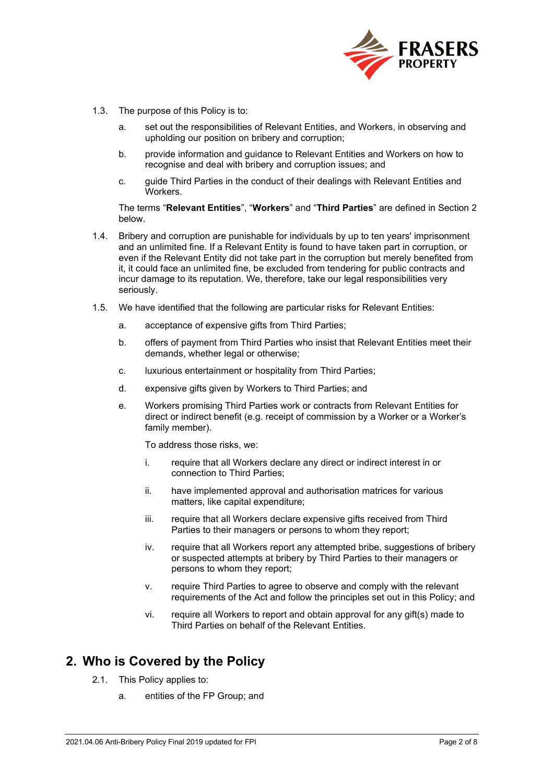

- 1.3. The purpose of this Policy is to:
	- a. set out the responsibilities of Relevant Entities, and Workers, in observing and upholding our position on bribery and corruption;
	- b. provide information and guidance to Relevant Entities and Workers on how to recognise and deal with bribery and corruption issues; and
	- c. guide Third Parties in the conduct of their dealings with Relevant Entities and **Workers**

The terms "**Relevant Entities**", "**Workers**" and "**Third Parties**" are defined in Section 2 below.

- 1.4. Bribery and corruption are punishable for individuals by up to ten years' imprisonment and an unlimited fine. If a Relevant Entity is found to have taken part in corruption, or even if the Relevant Entity did not take part in the corruption but merely benefited from it, it could face an unlimited fine, be excluded from tendering for public contracts and incur damage to its reputation. We, therefore, take our legal responsibilities very seriously.
- 1.5. We have identified that the following are particular risks for Relevant Entities:
	- a. acceptance of expensive gifts from Third Parties;
	- b. offers of payment from Third Parties who insist that Relevant Entities meet their demands, whether legal or otherwise;
	- c. luxurious entertainment or hospitality from Third Parties;
	- d. expensive gifts given by Workers to Third Parties; and
	- e. Workers promising Third Parties work or contracts from Relevant Entities for direct or indirect benefit (e.g. receipt of commission by a Worker or a Worker's family member).

To address those risks, we:

- i. require that all Workers declare any direct or indirect interest in or connection to Third Parties;
- ii. have implemented approval and authorisation matrices for various matters, like capital expenditure;
- iii. require that all Workers declare expensive gifts received from Third Parties to their managers or persons to whom they report;
- iv. require that all Workers report any attempted bribe, suggestions of bribery or suspected attempts at bribery by Third Parties to their managers or persons to whom they report;
- v. require Third Parties to agree to observe and comply with the relevant requirements of the Act and follow the principles set out in this Policy; and
- vi. require all Workers to report and obtain approval for any gift(s) made to Third Parties on behalf of the Relevant Entities.

### <span id="page-1-0"></span>**2. Who is Covered by the Policy**

- 2.1. This Policy applies to:
	- a. entities of the FP Group; and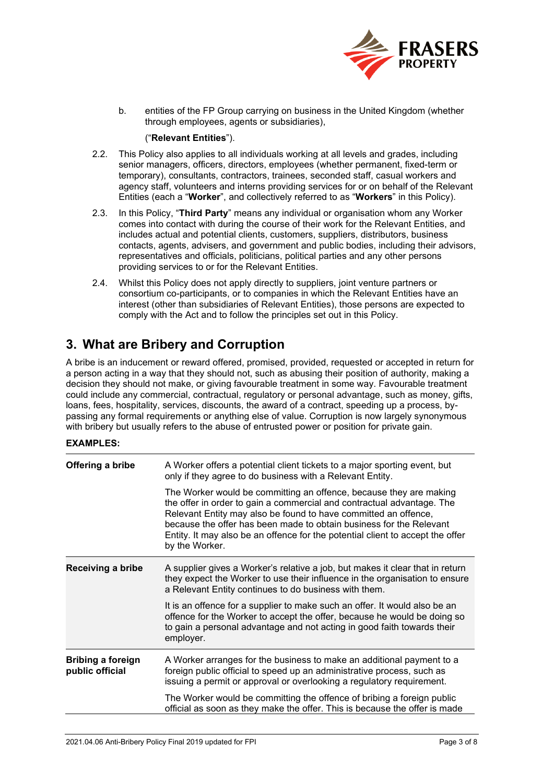

b. entities of the FP Group carrying on business in the United Kingdom (whether through employees, agents or subsidiaries),

#### ("**Relevant Entities**").

- 2.2. This Policy also applies to all individuals working at all levels and grades, including senior managers, officers, directors, employees (whether permanent, fixed-term or temporary), consultants, contractors, trainees, seconded staff, casual workers and agency staff, volunteers and interns providing services for or on behalf of the Relevant Entities (each a "**Worker**", and collectively referred to as "**Workers**" in this Policy).
- 2.3. In this Policy, "**Third Party**" means any individual or organisation whom any Worker comes into contact with during the course of their work for the Relevant Entities, and includes actual and potential clients, customers, suppliers, distributors, business contacts, agents, advisers, and government and public bodies, including their advisors, representatives and officials, politicians, political parties and any other persons providing services to or for the Relevant Entities.
- 2.4. Whilst this Policy does not apply directly to suppliers, joint venture partners or consortium co-participants, or to companies in which the Relevant Entities have an interest (other than subsidiaries of Relevant Entities), those persons are expected to comply with the Act and to follow the principles set out in this Policy.

# <span id="page-2-0"></span>**3. What are Bribery and Corruption**

A bribe is an inducement or reward offered, promised, provided, requested or accepted in return for a person acting in a way that they should not, such as abusing their position of authority, making a decision they should not make, or giving favourable treatment in some way. Favourable treatment could include any commercial, contractual, regulatory or personal advantage, such as money, gifts, loans, fees, hospitality, services, discounts, the award of a contract, speeding up a process, bypassing any formal requirements or anything else of value. Corruption is now largely synonymous with bribery but usually refers to the abuse of entrusted power or position for private gain.

#### **EXAMPLES:**

| Offering a bribe                            | A Worker offers a potential client tickets to a major sporting event, but<br>only if they agree to do business with a Relevant Entity.<br>The Worker would be committing an offence, because they are making<br>the offer in order to gain a commercial and contractual advantage. The<br>Relevant Entity may also be found to have committed an offence,<br>because the offer has been made to obtain business for the Relevant<br>Entity. It may also be an offence for the potential client to accept the offer<br>by the Worker. |
|---------------------------------------------|--------------------------------------------------------------------------------------------------------------------------------------------------------------------------------------------------------------------------------------------------------------------------------------------------------------------------------------------------------------------------------------------------------------------------------------------------------------------------------------------------------------------------------------|
| Receiving a bribe                           | A supplier gives a Worker's relative a job, but makes it clear that in return<br>they expect the Worker to use their influence in the organisation to ensure<br>a Relevant Entity continues to do business with them.                                                                                                                                                                                                                                                                                                                |
|                                             | It is an offence for a supplier to make such an offer. It would also be an<br>offence for the Worker to accept the offer, because he would be doing so<br>to gain a personal advantage and not acting in good faith towards their<br>employer.                                                                                                                                                                                                                                                                                       |
| <b>Bribing a foreign</b><br>public official | A Worker arranges for the business to make an additional payment to a<br>foreign public official to speed up an administrative process, such as<br>issuing a permit or approval or overlooking a regulatory requirement.                                                                                                                                                                                                                                                                                                             |
|                                             | The Worker would be committing the offence of bribing a foreign public<br>official as soon as they make the offer. This is because the offer is made                                                                                                                                                                                                                                                                                                                                                                                 |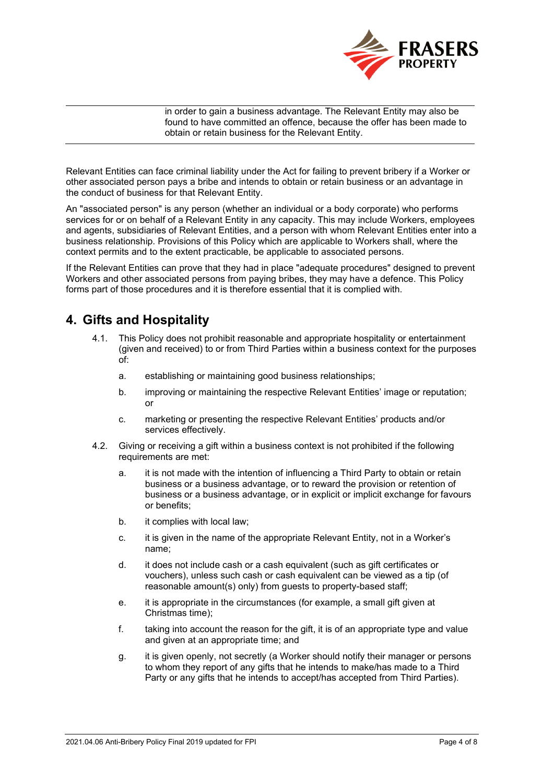

in order to gain a business advantage. The Relevant Entity may also be found to have committed an offence, because the offer has been made to obtain or retain business for the Relevant Entity.

Relevant Entities can face criminal liability under the Act for failing to prevent bribery if a Worker or other associated person pays a bribe and intends to obtain or retain business or an advantage in the conduct of business for that Relevant Entity.

An "associated person" is any person (whether an individual or a body corporate) who performs services for or on behalf of a Relevant Entity in any capacity. This may include Workers, employees and agents, subsidiaries of Relevant Entities, and a person with whom Relevant Entities enter into a business relationship. Provisions of this Policy which are applicable to Workers shall, where the context permits and to the extent practicable, be applicable to associated persons.

If the Relevant Entities can prove that they had in place "adequate procedures" designed to prevent Workers and other associated persons from paying bribes, they may have a defence. This Policy forms part of those procedures and it is therefore essential that it is complied with.

# <span id="page-3-0"></span>**4. Gifts and Hospitality**

- 4.1. This Policy does not prohibit reasonable and appropriate hospitality or entertainment (given and received) to or from Third Parties within a business context for the purposes of:
	- a. establishing or maintaining good business relationships;
	- b. improving or maintaining the respective Relevant Entities' image or reputation; or
	- c. marketing or presenting the respective Relevant Entities' products and/or services effectively.
- 4.2. Giving or receiving a gift within a business context is not prohibited if the following requirements are met:
	- a. it is not made with the intention of influencing a Third Party to obtain or retain business or a business advantage, or to reward the provision or retention of business or a business advantage, or in explicit or implicit exchange for favours or benefits;
	- b. it complies with local law;
	- c. it is given in the name of the appropriate Relevant Entity, not in a Worker's name;
	- d. it does not include cash or a cash equivalent (such as gift certificates or vouchers), unless such cash or cash equivalent can be viewed as a tip (of reasonable amount(s) only) from guests to property-based staff;
	- e. it is appropriate in the circumstances (for example, a small gift given at Christmas time);
	- f. taking into account the reason for the gift, it is of an appropriate type and value and given at an appropriate time; and
	- g. it is given openly, not secretly (a Worker should notify their manager or persons to whom they report of any gifts that he intends to make/has made to a Third Party or any gifts that he intends to accept/has accepted from Third Parties).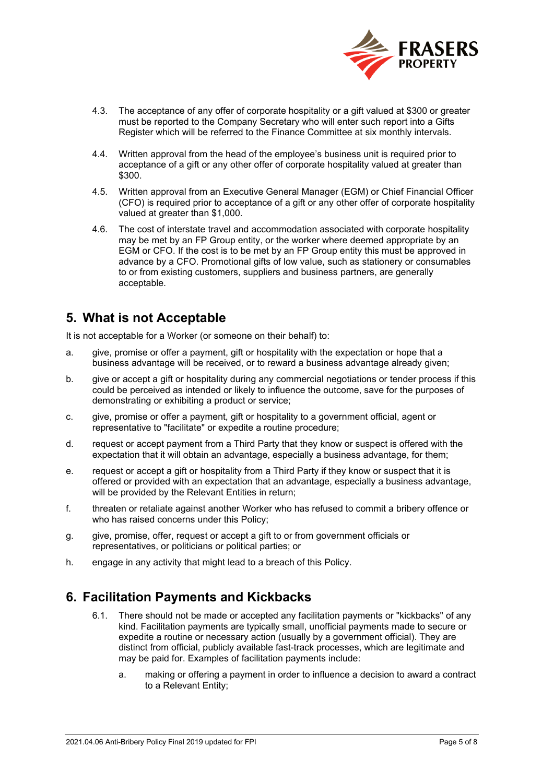

- 4.3. The acceptance of any offer of corporate hospitality or a gift valued at \$300 or greater must be reported to the Company Secretary who will enter such report into a Gifts Register which will be referred to the Finance Committee at six monthly intervals.
- 4.4. Written approval from the head of the employee's business unit is required prior to acceptance of a gift or any other offer of corporate hospitality valued at greater than \$300.
- 4.5. Written approval from an Executive General Manager (EGM) or Chief Financial Officer (CFO) is required prior to acceptance of a gift or any other offer of corporate hospitality valued at greater than \$1,000.
- 4.6. The cost of interstate travel and accommodation associated with corporate hospitality may be met by an FP Group entity, or the worker where deemed appropriate by an EGM or CFO. If the cost is to be met by an FP Group entity this must be approved in advance by a CFO. Promotional gifts of low value, such as stationery or consumables to or from existing customers, suppliers and business partners, are generally acceptable.

# <span id="page-4-0"></span>**5. What is not Acceptable**

It is not acceptable for a Worker (or someone on their behalf) to:

- a. give, promise or offer a payment, gift or hospitality with the expectation or hope that a business advantage will be received, or to reward a business advantage already given;
- b. give or accept a gift or hospitality during any commercial negotiations or tender process if this could be perceived as intended or likely to influence the outcome, save for the purposes of demonstrating or exhibiting a product or service;
- c. give, promise or offer a payment, gift or hospitality to a government official, agent or representative to "facilitate" or expedite a routine procedure;
- d. request or accept payment from a Third Party that they know or suspect is offered with the expectation that it will obtain an advantage, especially a business advantage, for them;
- e. request or accept a gift or hospitality from a Third Party if they know or suspect that it is offered or provided with an expectation that an advantage, especially a business advantage, will be provided by the Relevant Entities in return;
- f. threaten or retaliate against another Worker who has refused to commit a bribery offence or who has raised concerns under this Policy;
- g. give, promise, offer, request or accept a gift to or from government officials or representatives, or politicians or political parties; or
- h. engage in any activity that might lead to a breach of this Policy.

# <span id="page-4-1"></span>**6. Facilitation Payments and Kickbacks**

- 6.1. There should not be made or accepted any facilitation payments or "kickbacks" of any kind. Facilitation payments are typically small, unofficial payments made to secure or expedite a routine or necessary action (usually by a government official). They are distinct from official, publicly available fast-track processes, which are legitimate and may be paid for. Examples of facilitation payments include:
	- a. making or offering a payment in order to influence a decision to award a contract to a Relevant Entity;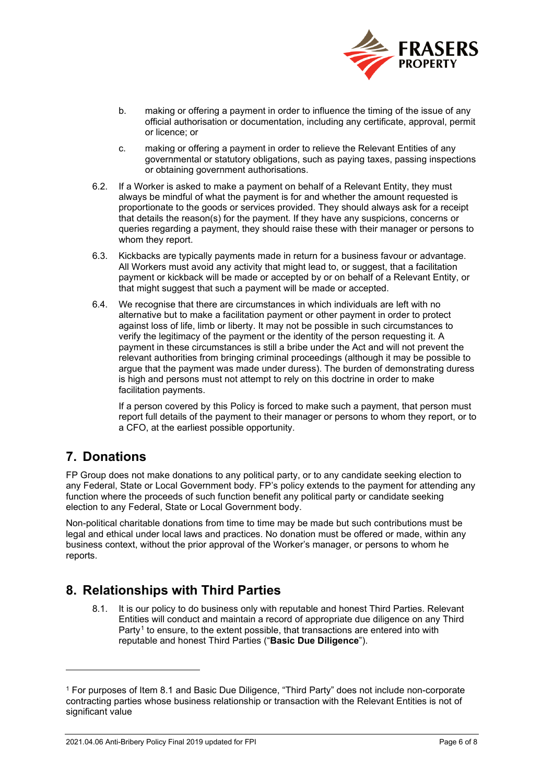

- b. making or offering a payment in order to influence the timing of the issue of any official authorisation or documentation, including any certificate, approval, permit or licence; or
- c. making or offering a payment in order to relieve the Relevant Entities of any governmental or statutory obligations, such as paying taxes, passing inspections or obtaining government authorisations.
- 6.2. If a Worker is asked to make a payment on behalf of a Relevant Entity, they must always be mindful of what the payment is for and whether the amount requested is proportionate to the goods or services provided. They should always ask for a receipt that details the reason(s) for the payment. If they have any suspicions, concerns or queries regarding a payment, they should raise these with their manager or persons to whom they report.
- 6.3. Kickbacks are typically payments made in return for a business favour or advantage. All Workers must avoid any activity that might lead to, or suggest, that a facilitation payment or kickback will be made or accepted by or on behalf of a Relevant Entity, or that might suggest that such a payment will be made or accepted.
- 6.4. We recognise that there are circumstances in which individuals are left with no alternative but to make a facilitation payment or other payment in order to protect against loss of life, limb or liberty. It may not be possible in such circumstances to verify the legitimacy of the payment or the identity of the person requesting it. A payment in these circumstances is still a bribe under the Act and will not prevent the relevant authorities from bringing criminal proceedings (although it may be possible to argue that the payment was made under duress). The burden of demonstrating duress is high and persons must not attempt to rely on this doctrine in order to make facilitation payments.

If a person covered by this Policy is forced to make such a payment, that person must report full details of the payment to their manager or persons to whom they report, or to a CFO, at the earliest possible opportunity.

# <span id="page-5-0"></span>**7. Donations**

FP Group does not make donations to any political party, or to any candidate seeking election to any Federal, State or Local Government body. FP's policy extends to the payment for attending any function where the proceeds of such function benefit any political party or candidate seeking election to any Federal, State or Local Government body.

Non-political charitable donations from time to time may be made but such contributions must be legal and ethical under local laws and practices. No donation must be offered or made, within any business context, without the prior approval of the Worker's manager, or persons to whom he reports.

# <span id="page-5-1"></span>**8. Relationships with Third Parties**

8.1. It is our policy to do business only with reputable and honest Third Parties. Relevant Entities will conduct and maintain a record of appropriate due diligence on any Third Party<sup>[1](#page-5-2)</sup> to ensure, to the extent possible, that transactions are entered into with reputable and honest Third Parties ("**Basic Due Diligence**").

<span id="page-5-2"></span><sup>1</sup> For purposes of Item 8.1 and Basic Due Diligence, "Third Party" does not include non-corporate contracting parties whose business relationship or transaction with the Relevant Entities is not of significant value

<sup>2021.04.06</sup> Anti-Bribery Policy Final 2019 updated for FPI Page 6 of 8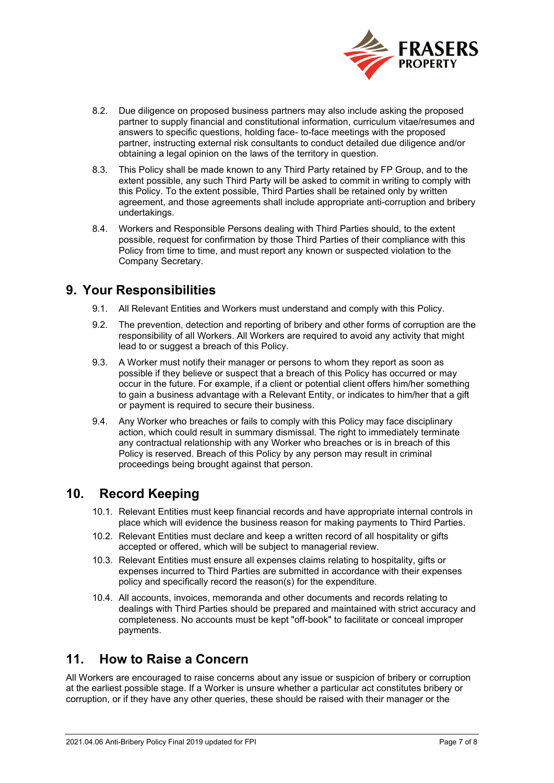

- 8.2. Due diligence on proposed business partners may also include asking the proposed partner to supply financial and constitutional information, curriculum vitae/resumes and answers to specific questions, holding face- to-face meetings with the proposed partner, instructing external risk consultants to conduct detailed due diligence and/or obtaining a legal opinion on the laws of the territory in question.
- 8.3. This Policy shall be made known to any Third Party retained by FP Group, and to the extent possible, any such Third Party will be asked to commit in writing to comply with this Policy. To the extent possible, Third Parties shall be retained only by written agreement, and those agreements shall include appropriate anti-corruption and bribery undertakings.
- 8.4. Workers and Responsible Persons dealing with Third Parties should, to the extent possible, request for confirmation by those Third Parties of their compliance with this Policy from time to time, and must report any known or suspected violation to the Company Secretary.

# <span id="page-6-0"></span>**9. Your Responsibilities**

- 9.1. All Relevant Entities and Workers must understand and comply with this Policy.
- 9.2. The prevention, detection and reporting of bribery and other forms of corruption are the responsibility of all Workers. All Workers are required to avoid any activity that might lead to or suggest a breach of this Policy.
- 9.3. A Worker must notify their manager or persons to whom they report as soon as possible if they believe or suspect that a breach of this Policy has occurred or may occur in the future. For example, if a client or potential client offers him/her something to gain a business advantage with a Relevant Entity, or indicates to him/her that a gift or payment is required to secure their business.
- 9.4. Any Worker who breaches or fails to comply with this Policy may face disciplinary action, which could result in summary dismissal. The right to immediately terminate any contractual relationship with any Worker who breaches or is in breach of this Policy is reserved. Breach of this Policy by any person may result in criminal proceedings being brought against that person.

# <span id="page-6-1"></span>**10. Record Keeping**

- 10.1. Relevant Entities must keep financial records and have appropriate internal controls in place which will evidence the business reason for making payments to Third Parties.
- 10.2. Relevant Entities must declare and keep a written record of all hospitality or gifts accepted or offered, which will be subject to managerial review.
- 10.3. Relevant Entities must ensure all expenses claims relating to hospitality, gifts or expenses incurred to Third Parties are submitted in accordance with their expenses policy and specifically record the reason(s) for the expenditure.
- 10.4. All accounts, invoices, memoranda and other documents and records relating to dealings with Third Parties should be prepared and maintained with strict accuracy and completeness. No accounts must be kept "off-book" to facilitate or conceal improper payments.

# <span id="page-6-2"></span>**11. How to Raise a Concern**

All Workers are encouraged to raise concerns about any issue or suspicion of bribery or corruption at the earliest possible stage. If a Worker is unsure whether a particular act constitutes bribery or corruption, or if they have any other queries, these should be raised with their manager or the